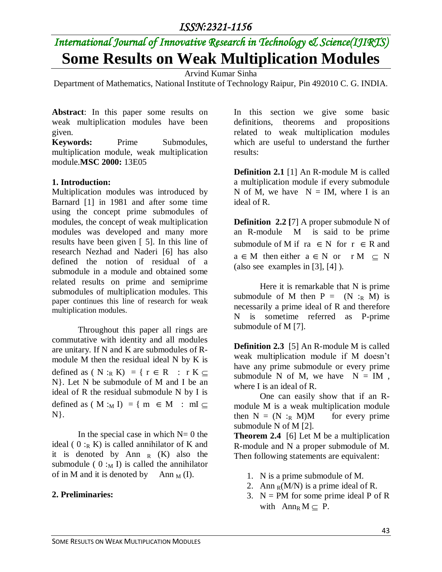### *ISSN:2321-1156*

# *International Journal of Innovative Research in Technology & Science(IJIRTS)* **Some Results on Weak Multiplication Modules**

Arvind Kumar Sinha

Department of Mathematics, National Institute of Technology Raipur, Pin 492010 C. G. INDIA.

**Abstract**: In this paper some results on weak multiplication modules have been given.

Keywords: Prime Submodules, multiplication module, weak multiplication module.**MSC 2000:** 13E05

### **1. Introduction:**

Multiplication modules was introduced by Barnard [1] in 1981 and after some time using the concept prime submodules of modules, the concept of weak multiplication modules was developed and many more results have been given [ 5]. In this line of research Nezhad and Naderi [6] has also defined the notion of residual of a submodule in a module and obtained some related results on prime and semiprime submodules of multiplication modules. This paper continues this line of research for weak multiplication modules.

Throughout this paper all rings are commutative with identity and all modules are unitary. If N and K are submodules of Rmodule M then the residual ideal N by K is defined as ( N :<sub>R</sub> K) = {  $r \in R$  :  $r K \subseteq$ N}. Let N be submodule of M and I be an ideal of R the residual submodule N by I is defined as (M :<sub>M</sub> I) = { m  $\in$  M : mI  $\subseteq$ N}.

In the special case in which  $N=0$  the ideal (  $0:_{R} K$ ) is called annihilator of K and it is denoted by Ann  $_R$  (K) also the submodule (  $0 :_{M} I$ ) is called the annihilator of in M and it is denoted by Ann  $_M$  (I).

### **2. Preliminaries:**

In this section we give some basic definitions, theorems and propositions related to weak multiplication modules which are useful to understand the further results:

**Definition 2.1** [1] An R-module M is called a multiplication module if every submodule N of M, we have  $N = IM$ , where I is an ideal of R.

**Definition 2.2** [7] A proper submodule N of an R-module M is said to be prime submodule of M if  $ra \in N$  for  $r \in R$  and  $a \in M$  then either  $a \in N$  or  $r M \subset N$ (also see examples in [3], [4] ).

Here it is remarkable that N is prime submodule of M then  $P = (N :_{R} M)$  is necessarily a prime ideal of R and therefore N is sometime referred as P-prime submodule of M [7].

**Definition 2.3** [5] An R-module M is called weak multiplication module if M doesn't have any prime submodule or every prime submodule N of M, we have  $N = IM$ , where I is an ideal of R.

One can easily show that if an Rmodule M is a weak multiplication module then  $N = (N :_{R} M)M$  for every prime submodule N of M [2].

**Theorem 2.4** [6] Let M be a multiplication R-module and N a proper submodule of M. Then following statements are equivalent:

- 1. N is a prime submodule of M.
- 2. Ann  $_R(M/N)$  is a prime ideal of R.
- 3.  $N = PM$  for some prime ideal P of R with  $Ann_R M \subset P$ .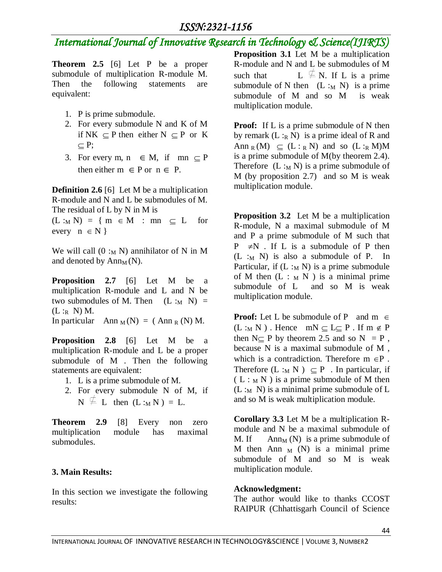## *International Journal of Innovative Research in Technology & Science(IJIRTS)*

**Theorem 2.5** [6] Let P be a proper submodule of multiplication R-module M. Then the following statements are equivalent:

- 1. P is prime submodule.
- 2. For every submodule N and K of M if NK  $\subseteq$  P then either N  $\subseteq$  P or K  $\subset P$ ;
- 3. For every m,  $n \in M$ , if mn  $\subseteq P$ then either  $m \in P$  or  $n \in P$ .

**Definition 2.6** [6] Let M be a multiplication R-module and N and L be submodules of M. The residual of L by N in M is

 $(L :_M N) = \{ m \in M : mn \subseteq L \text{ for }$ every  $n \in N$  }

We will call  $(0:_{M} N)$  annihilator of N in M and denoted by  $Ann_{M}(N)$ .

**Proposition 2.7** [6] Let M be a multiplication R-module and L and N be two submodules of M. Then  $(L :_M N)$  =  $(L:_{R} N)$  M. In particular Ann  $_M(N) = (A \text{nn } R(N)) M$ .

**Proposition 2.8** [6] Let M be a multiplication R-module and L be a proper submodule of M . Then the following statements are equivalent:

- 1. L is a prime submodule of M.
- 2. For every submodule N of M, if  $N \nsubseteq L$  then  $(L :_M N) = L$ .

**Theorem 2.9** [8] Every non zero multiplication module has maximal submodules.

### **3. Main Results:**

In this section we investigate the following results:

**Proposition 3.1** Let M be a multiplication R-module and N and L be submodules of M such that  $L \nsubseteq N$ . If L is a prime submodule of N then  $(L :_M N)$  is a prime submodule of M and so M is weak multiplication module.

**Proof:** If L is a prime submodule of N then by remark  $(L :_R N)$  is a prime ideal of R and Ann  $_R(M) \subseteq (L :_R N)$  and so  $(L :_R M)M$ is a prime submodule of M(by theorem 2.4). Therefore  $(L :_M N)$  is a prime submodule of M (by proposition 2.7) and so M is weak multiplication module.

**Proposition 3.2** Let M be a multiplication R-module, N a maximal submodule of M and P a prime submodule of M such that  $P \neq N$ . If L is a submodule of P then  $(L :_M N)$  is also a submodule of P. In Particular, if  $(L :_M N)$  is a prime submodule of M then  $(L : M N)$  is a minimal prime submodule of L and so M is weak multiplication module.

**Proof:** Let L be submodule of P and  $m \in$  $(L :_M N)$ . Hence  $mN \subseteq L \subseteq P$ . If  $m \notin P$ then  $N \subseteq P$  by theorem 2.5 and so  $N = P$ , because N is a maximal submodule of M , which is a contradiction. Therefore  $m \in P$ . Therefore  $(L :_M N) \subseteq P$ . In particular, if  $(L:_{M} N)$  is a prime submodule of M then  $(L :_M N)$  is a minimal prime submodule of L and so M is weak multiplication module.

**Corollary 3.3** Let M be a multiplication Rmodule and N be a maximal submodule of M. If  $\qquad \text{Ann}_M(N)$  is a prime submodule of M then Ann  $_M$  (N) is a minimal prime submodule of M and so M is weak multiplication module.

### **Acknowledgment:**

The author would like to thanks CCOST RAIPUR (Chhattisgarh Council of Science